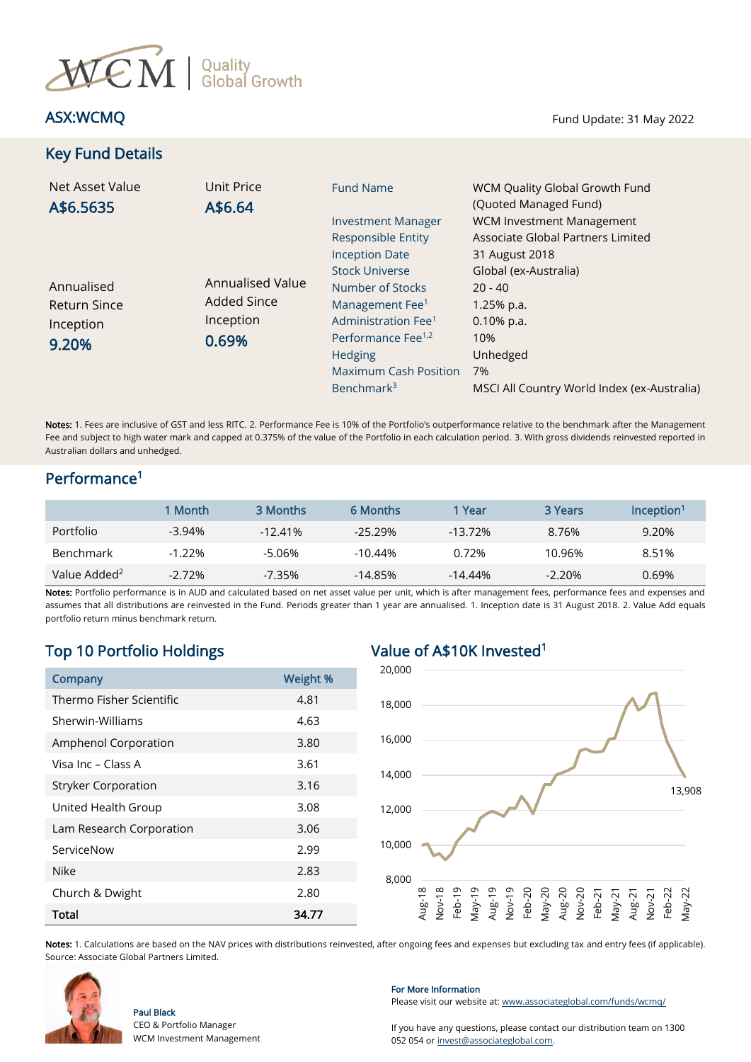

# Key Fund Details

ASX:WCMQ Fund Update: 31 May 2022

| Net Asset Value<br>A\$6.5635                            | Unit Price<br>A\$6.64                                        | <b>Fund Name</b>                                                                                                                                                                         | WCM Quality Global Growth Fund<br>(Quoted Managed Fund)                                      |
|---------------------------------------------------------|--------------------------------------------------------------|------------------------------------------------------------------------------------------------------------------------------------------------------------------------------------------|----------------------------------------------------------------------------------------------|
|                                                         |                                                              | <b>Investment Manager</b><br><b>Responsible Entity</b><br><b>Inception Date</b>                                                                                                          | <b>WCM Investment Management</b><br>Associate Global Partners Limited<br>31 August 2018      |
| Annualised<br><b>Return Since</b><br>Inception<br>9.20% | Annualised Value<br><b>Added Since</b><br>Inception<br>0.69% | <b>Stock Universe</b><br>Number of Stocks<br>Management Fee <sup>1</sup><br>Administration Fee <sup>1</sup><br>Performance Fee <sup>1,2</sup><br>Hedging<br><b>Maximum Cash Position</b> | Global (ex-Australia)<br>$20 - 40$<br>$1.25%$ p.a.<br>$0.10\%$ p.a.<br>10%<br>Unhedged<br>7% |
|                                                         |                                                              | Benchmark <sup>3</sup>                                                                                                                                                                   | MSCI All Country World Index (ex-Australia)                                                  |

Notes: 1. Fees are inclusive of GST and less RITC. 2. Performance Fee is 10% of the Portfolio's outperformance relative to the benchmark after the Management Fee and subject to high water mark and capped at 0.375% of the value of the Portfolio in each calculation period. 3. With gross dividends reinvested reported in Australian dollars and unhedged.

### Performance<sup>1</sup>

|                          | 1 Month   | 3 Months   | 6 Months   | l Year     | 3 Years  | Incention <sup>1</sup> |
|--------------------------|-----------|------------|------------|------------|----------|------------------------|
| <b>Portfolio</b>         | $-3.94\%$ | $-12.41\%$ | $-25.29%$  | $-13.72\%$ | 8.76%    | 9.20%                  |
| <b>Benchmark</b>         | $-1.22%$  | -5.06%     | $-10.44\%$ | $0.72\%$   | 10.96%   | 8.51%                  |
| Value Added <sup>2</sup> | $-2.72%$  | $-7.35%$   | $-14.85%$  | $-14.44\%$ | $-2.20%$ | 0.69%                  |

Notes: Portfolio performance is in AUD and calculated based on net asset value per unit, which is after management fees, performance fees and expenses and assumes that all distributions are reinvested in the Fund. Periods greater than 1 year are annualised. 1. Inception date is 31 August 2018. 2. Value Add equals portfolio return minus benchmark return.

# Top 10 Portfolio Holdings Value of A\$10K Invested<sup>1</sup>

| Company                    | <b>Weight %</b> |  |  |
|----------------------------|-----------------|--|--|
| Thermo Fisher Scientific   | 4.81            |  |  |
| Sherwin-Williams           | 4.63            |  |  |
| Amphenol Corporation       | 3.80            |  |  |
| Visa Inc – Class A         | 3.61            |  |  |
| <b>Stryker Corporation</b> | 3.16            |  |  |
| United Health Group        | 3.08            |  |  |
| Lam Research Corporation   | 3.06            |  |  |
| ServiceNow                 | 2.99            |  |  |
| Nike                       | 2.83            |  |  |
| Church & Dwight            | 2.80            |  |  |
| Total                      | 34.77           |  |  |



Notes: 1. Calculations are based on the NAV prices with distributions reinvested, after ongoing fees and expenses but excluding tax and entry fees (if applicable). Source: Associate Global Partners Limited.



Paul Black

CEO & Portfolio Manager WCM Investment Management

### For More Information

Please visit our website at[: www.associateglobal.com/funds/wcmq/](http://www.associateglobal.com/funds/wcmq/)

If you have any questions, please contact our distribution team on 1300 052 054 or [invest@associateglobal.com.](mailto:invest@associateglobal.com)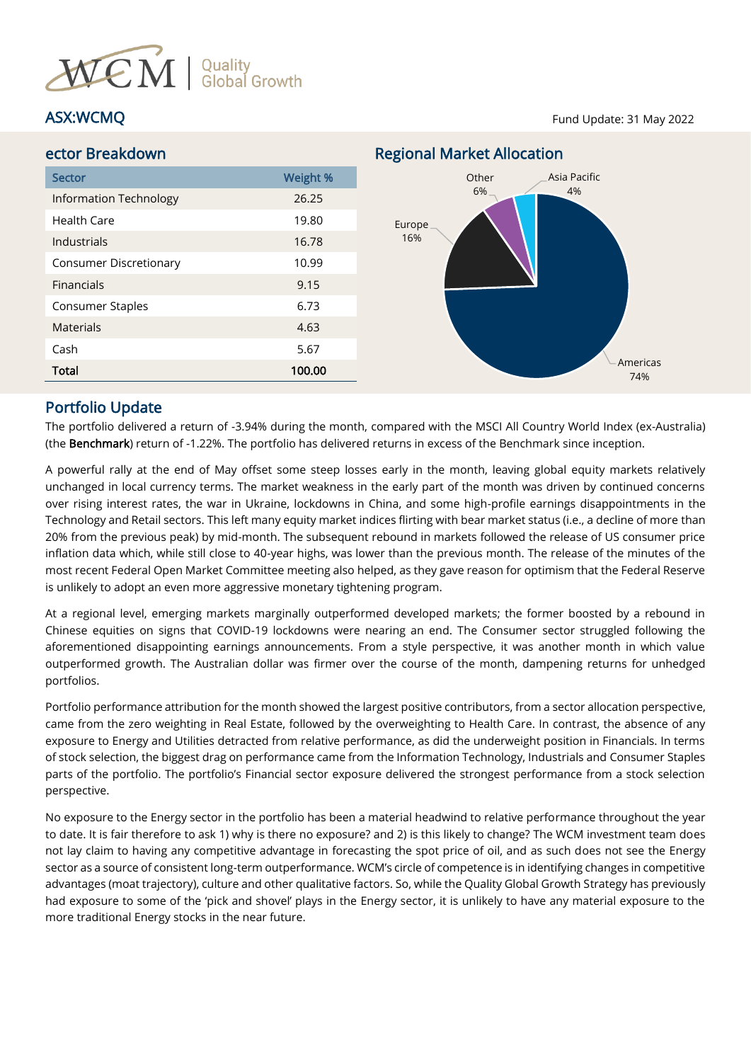

### ASX:WCMQ Fund Update: 31 May 2022



## Portfolio Update

The portfolio delivered a return of -3.94% during the month, compared with the MSCI All Country World Index (ex-Australia) (the Benchmark) return of -1.22%. The portfolio has delivered returns in excess of the Benchmark since inception.

A powerful rally at the end of May offset some steep losses early in the month, leaving global equity markets relatively unchanged in local currency terms. The market weakness in the early part of the month was driven by continued concerns over rising interest rates, the war in Ukraine, lockdowns in China, and some high-profile earnings disappointments in the Technology and Retail sectors. This left many equity market indices flirting with bear market status (i.e., a decline of more than 20% from the previous peak) by mid-month. The subsequent rebound in markets followed the release of US consumer price inflation data which, while still close to 40-year highs, was lower than the previous month. The release of the minutes of the most recent Federal Open Market Committee meeting also helped, as they gave reason for optimism that the Federal Reserve is unlikely to adopt an even more aggressive monetary tightening program.

At a regional level, emerging markets marginally outperformed developed markets; the former boosted by a rebound in Chinese equities on signs that COVID-19 lockdowns were nearing an end. The Consumer sector struggled following the aforementioned disappointing earnings announcements. From a style perspective, it was another month in which value outperformed growth. The Australian dollar was firmer over the course of the month, dampening returns for unhedged portfolios.

Portfolio performance attribution for the month showed the largest positive contributors, from a sector allocation perspective, came from the zero weighting in Real Estate, followed by the overweighting to Health Care. In contrast, the absence of any exposure to Energy and Utilities detracted from relative performance, as did the underweight position in Financials. In terms of stock selection, the biggest drag on performance came from the Information Technology, Industrials and Consumer Staples parts of the portfolio. The portfolio's Financial sector exposure delivered the strongest performance from a stock selection perspective.

No exposure to the Energy sector in the portfolio has been a material headwind to relative performance throughout the year to date. It is fair therefore to ask 1) why is there no exposure? and 2) is this likely to change? The WCM investment team does not lay claim to having any competitive advantage in forecasting the spot price of oil, and as such does not see the Energy sector as a source of consistent long-term outperformance. WCM's circle of competence is in identifying changes in competitive advantages (moat trajectory), culture and other qualitative factors. So, while the Quality Global Growth Strategy has previously had exposure to some of the 'pick and shovel' plays in the Energy sector, it is unlikely to have any material exposure to the more traditional Energy stocks in the near future.